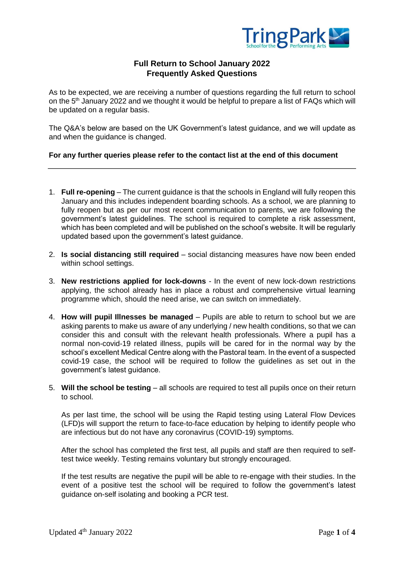

# **Full Return to School January 2022 Frequently Asked Questions**

As to be expected, we are receiving a number of questions regarding the full return to school on the 5<sup>th</sup> January 2022 and we thought it would be helpful to prepare a list of FAQs which will be updated on a regular basis.

The Q&A's below are based on the UK Government's latest guidance, and we will update as and when the guidance is changed.

#### **For any further queries please refer to the contact list at the end of this document**

- 1. **Full re-opening** The current guidance is that the schools in England will fully reopen this January and this includes independent boarding schools. As a school, we are planning to fully reopen but as per our most recent communication to parents, we are following the government's latest guidelines. The school is required to complete a risk assessment, which has been completed and will be published on the school's website. It will be regularly updated based upon the government's latest guidance.
- 2. **Is social distancing still required** social distancing measures have now been ended within school settings.
- 3. **New restrictions applied for lock-downs**  In the event of new lock-down restrictions applying, the school already has in place a robust and comprehensive virtual learning programme which, should the need arise, we can switch on immediately.
- 4. **How will pupil Illnesses be managed**  Pupils are able to return to school but we are asking parents to make us aware of any underlying / new health conditions, so that we can consider this and consult with the relevant health professionals. Where a pupil has a normal non-covid-19 related illness, pupils will be cared for in the normal way by the school's excellent Medical Centre along with the Pastoral team. In the event of a suspected covid-19 case, the school will be required to follow the guidelines as set out in the government's latest guidance.
- 5. **Will the school be testing** all schools are required to test all pupils once on their return to school.

As per last time, the school will be using the Rapid testing using Lateral Flow Devices (LFD)s will support the return to face-to-face education by helping to identify people who are infectious but do not have any coronavirus (COVID-19) symptoms.

After the school has completed the first test, all pupils and staff are then required to selftest twice weekly. Testing remains voluntary but strongly encouraged.

If the test results are negative the pupil will be able to re-engage with their studies. In the event of a positive test the school will be required to follow the government's latest guidance on-self isolating and booking a PCR test.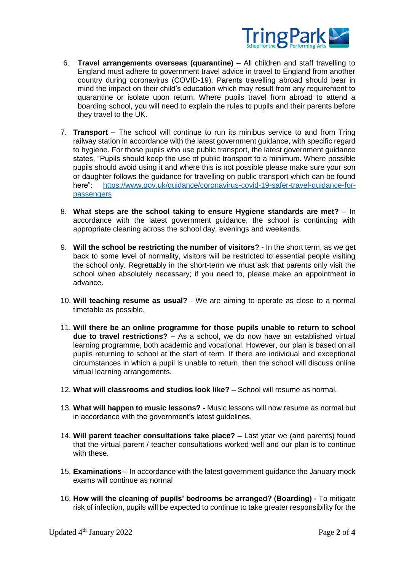

- 6. **Travel arrangements overseas (quarantine)** All children and staff travelling to England must adhere to government travel advice in travel to England from another country during coronavirus (COVID-19). Parents travelling abroad should bear in mind the impact on their child's education which may result from any requirement to quarantine or isolate upon return. Where pupils travel from abroad to attend a boarding school, you will need to explain the rules to pupils and their parents before they travel to the UK.
- 7. **Transport** The school will continue to run its minibus service to and from Tring railway station in accordance with the latest government guidance, with specific regard to hygiene. For those pupils who use public transport, the latest government guidance states, "Pupils should keep the use of public transport to a minimum. Where possible pupils should avoid using it and where this is not possible please make sure your son or daughter follows the guidance for travelling on public transport which can be found here": [https://www.gov.uk/guidance/coronavirus-covid-19-safer-travel-guidance-for](https://www.gov.uk/guidance/coronavirus-covid-19-safer-travel-guidance-for-passengers)[passengers](https://www.gov.uk/guidance/coronavirus-covid-19-safer-travel-guidance-for-passengers)
- 8. **What steps are the school taking to ensure Hygiene standards are met?** In accordance with the latest government guidance, the school is continuing with appropriate cleaning across the school day, evenings and weekends.
- 9. **Will the school be restricting the number of visitors? -** In the short term, as we get back to some level of normality, visitors will be restricted to essential people visiting the school only. Regrettably in the short-term we must ask that parents only visit the school when absolutely necessary; if you need to, please make an appointment in advance.
- 10. **Will teaching resume as usual?** We are aiming to operate as close to a normal timetable as possible.
- 11. **Will there be an online programme for those pupils unable to return to school due to travel restrictions? –** As a school, we do now have an established virtual learning programme, both academic and vocational. However, our plan is based on all pupils returning to school at the start of term. If there are individual and exceptional circumstances in which a pupil is unable to return, then the school will discuss online virtual learning arrangements.
- 12. **What will classrooms and studios look like? –** School will resume as normal.
- 13. **What will happen to music lessons? -** Music lessons will now resume as normal but in accordance with the government's latest guidelines.
- 14. **Will parent teacher consultations take place? –** Last year we (and parents) found that the virtual parent / teacher consultations worked well and our plan is to continue with these.
- 15. **Examinations**  In accordance with the latest government guidance the January mock exams will continue as normal
- 16. **How will the cleaning of pupils' bedrooms be arranged? (Boarding) -** To mitigate risk of infection, pupils will be expected to continue to take greater responsibility for the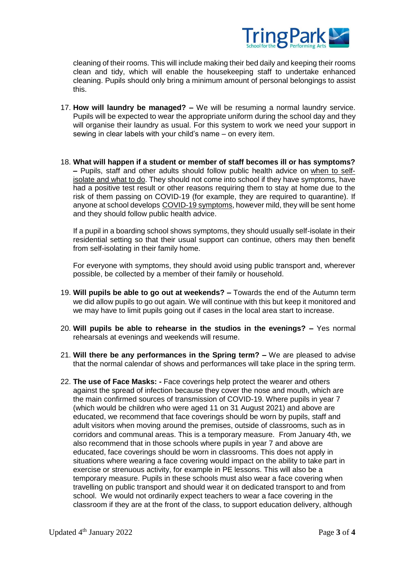

cleaning of their rooms. This will include making their bed daily and keeping their rooms clean and tidy, which will enable the housekeeping staff to undertake enhanced cleaning. Pupils should only bring a minimum amount of personal belongings to assist this.

- 17. **How will laundry be managed? –** We will be resuming a normal laundry service. Pupils will be expected to wear the appropriate uniform during the school day and they will organise their laundry as usual. For this system to work we need your support in sewing in clear labels with your child's name – on every item.
- 18. **What will happen if a student or member of staff becomes ill or has symptoms? –** Pupils, staff and other adults should follow public health advice on [when](https://www.nhs.uk/conditions/coronavirus-covid-19/self-isolation-and-treatment/when-to-self-isolate-and-what-to-do/) to self[isolate](https://www.nhs.uk/conditions/coronavirus-covid-19/self-isolation-and-treatment/when-to-self-isolate-and-what-to-do/) and what to do. They should not come into school if they have symptoms, have had a positive test result or other reasons requiring them to stay at home due to the risk of them passing on COVID-19 (for example, they are required to quarantine). If anyone at school develops COVID-19 [symptoms,](https://www.nhs.uk/conditions/coronavirus-covid-19/symptoms/) however mild, they will be sent home and they should follow public health advice.

If a pupil in a boarding school shows symptoms, they should usually self-isolate in their residential setting so that their usual support can continue, others may then benefit from self-isolating in their family home.

For everyone with symptoms, they should avoid using public transport and, wherever possible, be collected by a member of their family or household.

- 19. **Will pupils be able to go out at weekends? –** Towards the end of the Autumn term we did allow pupils to go out again. We will continue with this but keep it monitored and we may have to limit pupils going out if cases in the local area start to increase.
- 20. **Will pupils be able to rehearse in the studios in the evenings? –** Yes normal rehearsals at evenings and weekends will resume.
- 21. **Will there be any performances in the Spring term? –** We are pleased to advise that the normal calendar of shows and performances will take place in the spring term.
- 22. **The use of Face Masks: -** Face coverings help protect the wearer and others against the spread of infection because they cover the nose and mouth, which are the main confirmed sources of transmission of COVID-19. Where pupils in year 7 (which would be children who were aged 11 on 31 August 2021) and above are educated, we recommend that face coverings should be worn by pupils, staff and adult visitors when moving around the premises, outside of classrooms, such as in corridors and communal areas. This is a temporary measure. From January 4th, we also recommend that in those schools where pupils in year 7 and above are educated, face coverings should be worn in classrooms. This does not apply in situations where wearing a face covering would impact on the ability to take part in exercise or strenuous activity, for example in PE lessons. This will also be a temporary measure. Pupils in these schools must also wear a face covering when travelling on public transport and should wear it on dedicated transport to and from school. We would not ordinarily expect teachers to wear a face covering in the classroom if they are at the front of the class, to support education delivery, although